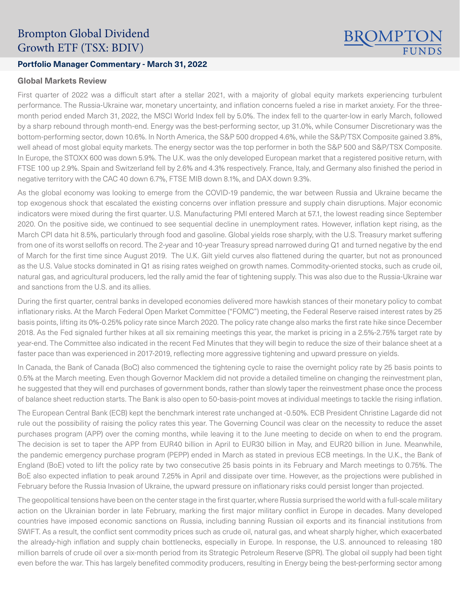# Brompton Global Dividend Growth ETF (TSX: BDIV)

## **Portfolio Manager Commentary - March 31, 2022**

#### **Global Markets Review**

First quarter of 2022 was a difficult start after a stellar 2021, with a majority of global equity markets experiencing turbulent performance. The Russia-Ukraine war, monetary uncertainty, and inflation concerns fueled a rise in market anxiety. For the threemonth period ended March 31, 2022, the MSCI World Index fell by 5.0%. The index fell to the quarter-low in early March, followed by a sharp rebound through month-end. Energy was the best-performing sector, up 31.0%, while Consumer Discretionary was the bottom-performing sector, down 10.6%. In North America, the S&P 500 dropped 4.6%, while the S&P/TSX Composite gained 3.8%, well ahead of most global equity markets. The energy sector was the top performer in both the S&P 500 and S&P/TSX Composite. In Europe, the STOXX 600 was down 5.9%. The U.K. was the only developed European market that a registered positive return, with FTSE 100 up 2.9%. Spain and Switzerland fell by 2.6% and 4.3% respectively. France, Italy, and Germany also finished the period in negative territory with the CAC 40 down 6.7%, FTSE MIB down 8.1%, and DAX down 9.3%.

**BROMPTC** 

As the global economy was looking to emerge from the COVID-19 pandemic, the war between Russia and Ukraine became the top exogenous shock that escalated the existing concerns over inflation pressure and supply chain disruptions. Major economic indicators were mixed during the first quarter. U.S. Manufacturing PMI entered March at 57.1, the lowest reading since September 2020. On the positive side, we continued to see sequential decline in unemployment rates. However, inflation kept rising, as the March CPI data hit 8.5%, particularly through food and gasoline. Global yields rose sharply, with the U.S. Treasury market suffering from one of its worst selloffs on record. The 2-year and 10-year Treasury spread narrowed during Q1 and turned negative by the end of March for the first time since August 2019. The U.K. Gilt yield curves also flattened during the quarter, but not as pronounced as the U.S. Value stocks dominated in Q1 as rising rates weighed on growth names. Commodity-oriented stocks, such as crude oil, natural gas, and agricultural producers, led the rally amid the fear of tightening supply. This was also due to the Russia-Ukraine war and sanctions from the U.S. and its allies.

During the first quarter, central banks in developed economies delivered more hawkish stances of their monetary policy to combat inflationary risks. At the March Federal Open Market Committee ("FOMC") meeting, the Federal Reserve raised interest rates by 25 basis points, lifting its 0%-0.25% policy rate since March 2020. The policy rate change also marks the first rate hike since December 2018. As the Fed signaled further hikes at all six remaining meetings this year, the market is pricing in a 2.5%-2.75% target rate by year-end. The Committee also indicated in the recent Fed Minutes that they will begin to reduce the size of their balance sheet at a faster pace than was experienced in 2017-2019, reflecting more aggressive tightening and upward pressure on yields.

In Canada, the Bank of Canada (BoC) also commenced the tightening cycle to raise the overnight policy rate by 25 basis points to 0.5% at the March meeting. Even though Governor Macklem did not provide a detailed timeline on changing the reinvestment plan, he suggested that they will end purchases of government bonds, rather than slowly taper the reinvestment phase once the process of balance sheet reduction starts. The Bank is also open to 50-basis-point moves at individual meetings to tackle the rising inflation.

The European Central Bank (ECB) kept the benchmark interest rate unchanged at -0.50%. ECB President Christine Lagarde did not rule out the possibility of raising the policy rates this year. The Governing Council was clear on the necessity to reduce the asset purchases program (APP) over the coming months, while leaving it to the June meeting to decide on when to end the program. The decision is set to taper the APP from EUR40 billion in April to EUR30 billion in May, and EUR20 billion in June. Meanwhile, the pandemic emergency purchase program (PEPP) ended in March as stated in previous ECB meetings. In the U.K., the Bank of England (BoE) voted to lift the policy rate by two consecutive 25 basis points in its February and March meetings to 0.75%. The BoE also expected inflation to peak around 7.25% in April and dissipate over time. However, as the projections were published in February before the Russia Invasion of Ukraine, the upward pressure on inflationary risks could persist longer than projected.

The geopolitical tensions have been on the center stage in the first quarter, where Russia surprised the world with a full-scale military action on the Ukrainian border in late February, marking the first major military conflict in Europe in decades. Many developed countries have imposed economic sanctions on Russia, including banning Russian oil exports and its financial institutions from SWIFT. As a result, the conflict sent commodity prices such as crude oil, natural gas, and wheat sharply higher, which exacerbated the already-high inflation and supply chain bottlenecks, especially in Europe. In response, the U.S. announced to releasing 180 million barrels of crude oil over a six-month period from its Strategic Petroleum Reserve (SPR). The global oil supply had been tight even before the war. This has largely benefited commodity producers, resulting in Energy being the best-performing sector among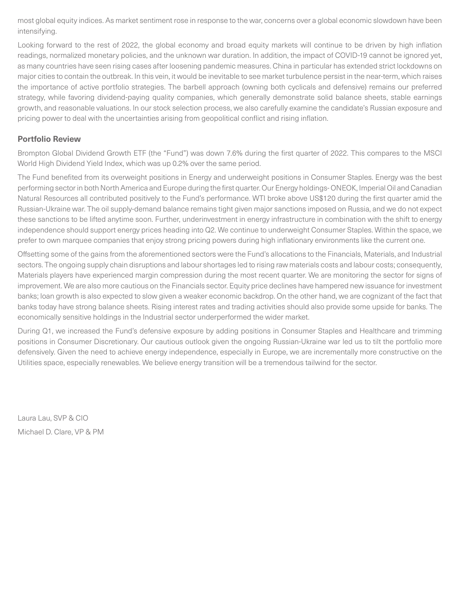most global equity indices. As market sentiment rose in response to the war, concerns over a global economic slowdown have been intensifying.

Looking forward to the rest of 2022, the global economy and broad equity markets will continue to be driven by high inflation readings, normalized monetary policies, and the unknown war duration. In addition, the impact of COVID-19 cannot be ignored yet, as many countries have seen rising cases after loosening pandemic measures. China in particular has extended strict lockdowns on major cities to contain the outbreak. In this vein, it would be inevitable to see market turbulence persist in the near-term, which raises the importance of active portfolio strategies. The barbell approach (owning both cyclicals and defensive) remains our preferred strategy, while favoring dividend-paying quality companies, which generally demonstrate solid balance sheets, stable earnings growth, and reasonable valuations. In our stock selection process, we also carefully examine the candidate's Russian exposure and pricing power to deal with the uncertainties arising from geopolitical conflict and rising inflation.

### **Portfolio Review**

Brompton Global Dividend Growth ETF (the "Fund") was down 7.6% during the first quarter of 2022. This compares to the MSCI World High Dividend Yield Index, which was up 0.2% over the same period.

The Fund benefited from its overweight positions in Energy and underweight positions in Consumer Staples. Energy was the best performing sector in both North America and Europe during the first quarter. Our Energy holdings- ONEOK, Imperial Oil and Canadian Natural Resources all contributed positively to the Fund's performance. WTI broke above US\$120 during the first quarter amid the Russian-Ukraine war. The oil supply-demand balance remains tight given major sanctions imposed on Russia, and we do not expect these sanctions to be lifted anytime soon. Further, underinvestment in energy infrastructure in combination with the shift to energy independence should support energy prices heading into Q2. We continue to underweight Consumer Staples. Within the space, we prefer to own marquee companies that enjoy strong pricing powers during high inflationary environments like the current one.

Offsetting some of the gains from the aforementioned sectors were the Fund's allocations to the Financials, Materials, and Industrial sectors. The ongoing supply chain disruptions and labour shortages led to rising raw materials costs and labour costs; consequently, Materials players have experienced margin compression during the most recent quarter. We are monitoring the sector for signs of improvement. We are also more cautious on the Financials sector. Equity price declines have hampered new issuance for investment banks; loan growth is also expected to slow given a weaker economic backdrop. On the other hand, we are cognizant of the fact that banks today have strong balance sheets. Rising interest rates and trading activities should also provide some upside for banks. The economically sensitive holdings in the Industrial sector underperformed the wider market.

During Q1, we increased the Fund's defensive exposure by adding positions in Consumer Staples and Healthcare and trimming positions in Consumer Discretionary. Our cautious outlook given the ongoing Russian-Ukraine war led us to tilt the portfolio more defensively. Given the need to achieve energy independence, especially in Europe, we are incrementally more constructive on the Utilities space, especially renewables. We believe energy transition will be a tremendous tailwind for the sector.

Laura Lau, SVP & CIO Michael D. Clare, VP & PM